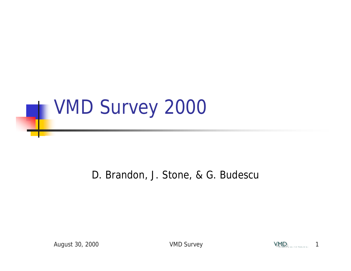

#### D. Brandon, J. Stone, & G. Budescu

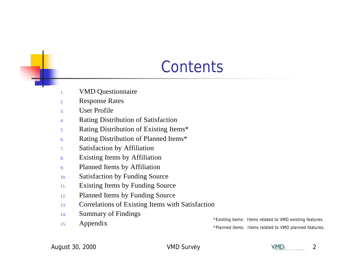#### **Contents**

- 1. VMD Questionnaire
- 2. Response Rates
- 3. User Profile
- 4. Rating Distribution of Satisfaction
- 5. Rating Distribution of Existing Items\*
- 6. Rating Distribution of Planned Items\*
- 7. Satisfaction by Affiliation
- 8. Existing Items by Affiliation
- 9. Planned Items by Affiliation
- 10. Satisfaction by Funding Source
- 11. Existing Items by Funding Source
- 12. Planned Items by Funding Source
- 13. Correlations of Existing Items with Satisfaction
- 14. Summary of Findings
- 

15. Appendix **A** Appendix **a** a set of the set of the set of the set of the set of the set of the set of the set of the set of the set of the set of the set of the set of the set of the set of the set of the set of the set \*Planned items: Items related to VMD planned features.

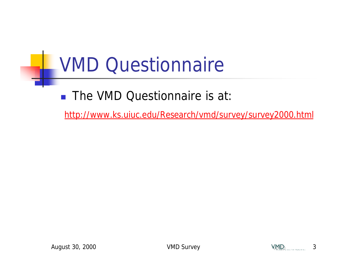# VMD Questionnaire

■ The VMD Questionnaire is at:

http://www.ks.uiuc.edu/Research/vmd/survey/survey2000.html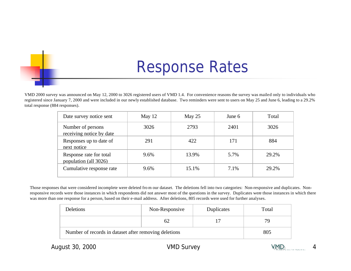#### Response Rates

VMD 2000 survey was announced on May 12, 2000 to 3026 registered users of VMD 1.4. For convenience reasons the survey was mailed only to individuals who registered since January 7, 2000 and were included in our newly established database. Two reminders were sent to users on May 25 and June 6, leading to a 29.2% total response (884 responses).

| Date survey notice sent                          | May $12$ | May $25$ | June 6 | Total |
|--------------------------------------------------|----------|----------|--------|-------|
| Number of persons<br>receiving notice by date    | 3026     | 2793     | 2401   | 3026  |
| Responses up to date of<br>next notice           | 291      | 422      | 171    | 884   |
| Response rate for total<br>population (all 3026) | 9.6%     | 13.9%    | 5.7%   | 29.2% |
| Cumulative response rate                         | 9.6%     | 15.1%    | 7.1%   | 29.2% |

Those responses that were considered incomplete were deleted fro m our dataset. The deletions fell into two categories: Non-responsive and duplicates. Nonresponsive records were those instances in which respondents did not answer most of the questions in the survey. Duplicates were those instances in which there was more than one response for a person, based on their e-mail address. After deletions, 805 records were used for further analyses.

| <b>Deletions</b>                                      | Non-Responsive | Duplicates | Total |
|-------------------------------------------------------|----------------|------------|-------|
|                                                       | 62             |            | 70    |
| Number of records in dataset after removing deletions | 805            |            |       |

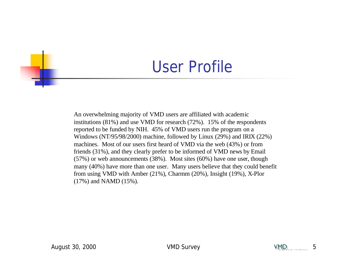#### User Profile

An overwhelming majority of VMD users are affiliated with academic institutions (81%) and use VMD for research (72%). 15% of the respondents reported to be funded by NIH. 45% of VMD users run the program on a Windows (NT/95/98/2000) machine, followed by Linux (29%) and IRIX (22%) machines. Most of our users first heard of VMD via the web (43%) or from friends (31%), and they clearly prefer to be informed of VMD news by Email (57%) or web announcements (38%). Most sites (60%) have one user, though many (40%) have more than one user. Many users believe that they could benefit from using VMD with Amber (21%), Charmm (20%), Insight (19%), X-Plor (17%) and NAMD (15%).

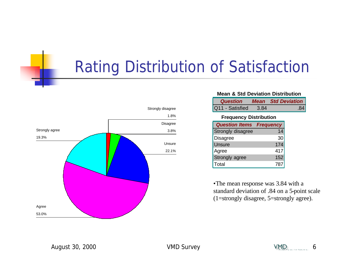### Rating Distribution of Satisfaction



#### **Mean & Std Deviation Distribution**

| <b>Question</b> |      | <b>Mean</b> Std Deviation |
|-----------------|------|---------------------------|
| Q11 - Satisfied | 3.84 |                           |

#### **Frequency Distribution**

| <b>Question Items</b> | <b>Frequency</b> |
|-----------------------|------------------|
| Strongly disagree     | 14               |
| <b>Disagree</b>       | 30               |
| <b>Unsure</b>         | 174              |
| Agree                 | 417              |
| Strongly agree        | 152              |
| Total                 | 787              |

•The mean response was 3.84 with a standard deviation of .84 on a 5-point scale (1=strongly disagree, 5=strongly agree).

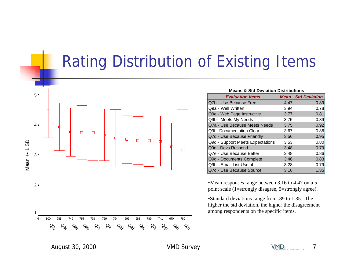### Rating Distribution of Existing Items



| <b>Means &amp; Std Deviation Distributions</b> |      |                           |  |  |
|------------------------------------------------|------|---------------------------|--|--|
| <b>Evaluation Items</b>                        |      | <b>Mean</b> Std Deviation |  |  |
| Q7b - Use Because Free                         | 4.47 | 0.89                      |  |  |
| Q9a - Well Written                             | 3.94 | 0.78                      |  |  |
| Q9e - Web Page Instructive                     | 3.77 | 0.81                      |  |  |
| Q9b - Meets My Needs                           | 3.75 | 0.89                      |  |  |
| Q7a - Use Because Meets Needs                  | 3.75 | 0.92                      |  |  |
| Q9f - Documentation Clear                      | 3.67 | 0.86                      |  |  |
| Q7d - Use Because Friendly                     | 3.56 | 0.95                      |  |  |
| Q9d - Support Meets Expectations               | 3.53 | 0.80                      |  |  |
| Q9c - Devs Respond                             | 3.48 | 0.79                      |  |  |
| Q7e - Use Because Better                       | 3.48 | 0.86                      |  |  |
| Q9g - Documents Complete                       | 3.46 | 0.83                      |  |  |
| Q9h - Email List Useful                        | 3.28 | 0.79                      |  |  |
| Q7c - Use Because Source                       | 3.16 | 1.35                      |  |  |

•Mean responses range between 3.16 to 4.47 on a 5 point scale (1=strongly disagree, 5=strongly agree).

•Standard deviations range from .89 to 1.35. The higher the std deviation, the higher the disagreement among respondents on the specific items.

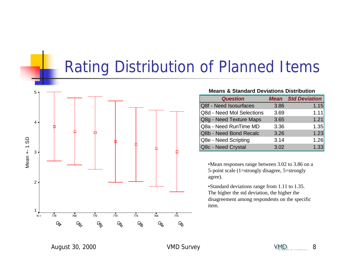#### Rating Distribution of Planned Items



#### **Means & Standard Deviations Distribution**

| <b>Question</b>           |      | <b>Mean</b> Std Deviation |
|---------------------------|------|---------------------------|
| Q8f - Need Isosurfaces    | 3.86 | 1.15                      |
| Q8d - Need Mol Selections | 3.69 | 1.11                      |
| Q8g - Need Texture Maps   | 3.65 | 1.21                      |
| Q8a - Need RunTime MD     | 3.36 | 1.35                      |
| Q8b - Need Bond Recalc    | 3.26 | 1.23                      |
| Q8e - Need Scripting      | 3.14 | 1.26                      |
| Q8c - Need Crystal        | 3.02 | 1.33                      |

•Mean responses range between 3.02 to 3.86 on a 5-point scale (1=strongly disagree, 5=strongly agree).

•Standard deviations range from 1.11 to 1.35. The higher the std deviation, the higher the disagreement among respondents on the specific item.

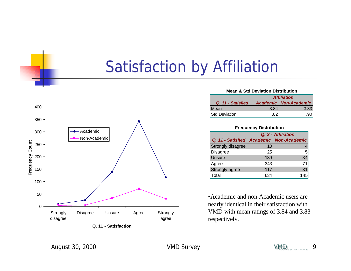### Satisfaction by Affiliation



| Q. 11 - Satisfaction |  |
|----------------------|--|
|----------------------|--|

| <b>Mean &amp; Std Deviation Distribution</b> |                    |                       |  |
|----------------------------------------------|--------------------|-----------------------|--|
|                                              | <b>Affiliation</b> |                       |  |
| Q. 11 - Satisfied                            |                    | Academic Non-Academic |  |
| Mean                                         | 3.84               | 3.83                  |  |
| <b>Std Deviation</b>                         | 82                 |                       |  |

**Frequency Distribution**

|                                         | Q. 2 - Affiliation |     |  |
|-----------------------------------------|--------------------|-----|--|
| Q. 11 - Satisfied Academic Non-Academic |                    |     |  |
| Strongly disagree                       | 10                 |     |  |
| Disagree                                | 25                 | 5   |  |
| <b>Unsure</b>                           | 139                | 34  |  |
| Agree                                   | 343                | 71  |  |
| <b>Strongly agree</b>                   | 117                | 31  |  |
| Total                                   | 634                | 145 |  |

•Academic and non-Academic users are nearly identical in their satisfaction with VMD with mean ratings of 3.84 and 3.83 respectively.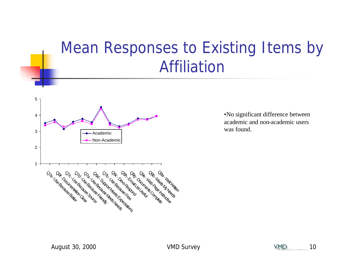### Mean Responses to Existing Items by Affiliation



•No significant difference between academic and non-academic users was found.

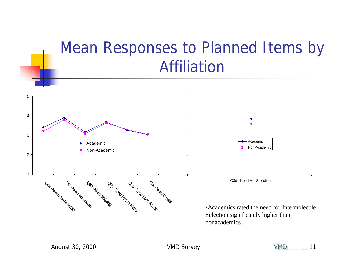#### Mean Responses to Planned Items by Affiliation

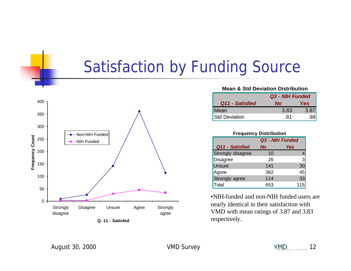#### Satisfaction by Funding Source



#### **Mean & Std Deviation Distribution**

|                      | Q3 - NIH Funded |     |
|----------------------|-----------------|-----|
| Q11 - Satisfied      | Nο              | Yes |
| Mean                 | 3.83            | 3.8 |
| <b>Std Deviation</b> | 81              |     |

#### **Frequency Distribution**

|                   | Q3 - NIH Funded |     |
|-------------------|-----------------|-----|
| Q11 - Satisfied   | <b>No</b>       | Yes |
| Strongly disagree | 10              |     |
| <b>Disagree</b>   | 26              | 3   |
| <b>Unsure</b>     | 141             | 30  |
| Agree             | 362             | 45  |
| Strongly agree    | 114             | 33  |
| Total             | 653             | 115 |

•NIH-funded and non-NIH funded users are nearly identical in their satisfaction with VMD with mean ratings of 3.87 and 3.83 respectively.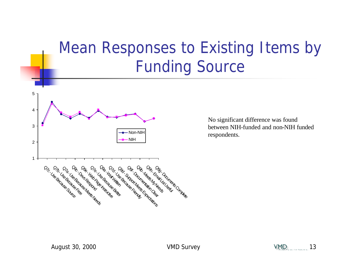### Mean Responses to Existing Items by Funding Source



No significant difference was found between NIH-funded and non-NIH funded respondents.

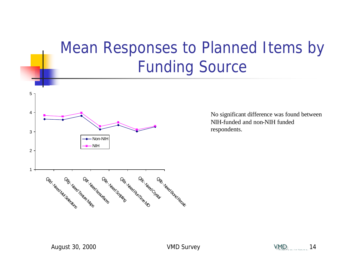### Mean Responses to Planned Items by Funding Source



No significant difference was found between NIH-funded and non-NIH funded respondents.

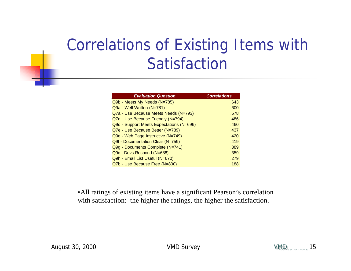## Correlations of Existing Items with Satisfaction

| <b>Evaluation Question</b>               | <b>Correlations</b> |
|------------------------------------------|---------------------|
| Q9b - Meets My Needs (N=785)             | .643                |
| Q9a - Well Written (N=781)               | .600                |
| Q7a - Use Because Meets Needs (N=793)    | .578                |
| Q7d - Use Because Friendly (N=794)       | .486                |
| Q9d - Support Meets Expectations (N=696) | .460                |
| Q7e - Use Because Better (N=789)         | .437                |
| Q9e - Web Page Instructive (N=749)       | .420                |
| Q9f - Documentation Clear (N=759)        | .419                |
| Q9g - Documents Complete (N=741)         | .389                |
| Q9c - Devs Respond (N=688)               | .359                |
| Q9h - Email List Useful (N=670)          | .279                |
| Q7b - Use Because Free (N=800)           | .188                |

•All ratings of existing items have a significant Pearson's correlation with satisfaction: the higher the ratings, the higher the satisfaction.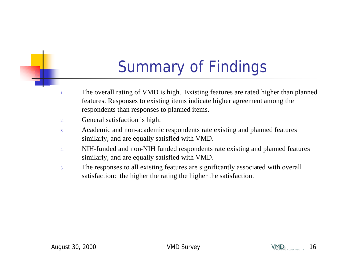## Summary of Findings

- 1. The overall rating of VMD is high. Existing features are rated higher than planned features. Responses to existing items indicate higher agreement among the respondents than responses to planned items.
- 2. General satisfaction is high.
- 3. Academic and non-academic respondents rate existing and planned features similarly, and are equally satisfied with VMD.
- 4. NIH-funded and non-NIH funded respondents rate existing and planned features similarly, and are equally satisfied with VMD.
- 5. The responses to all existing features are significantly associated with overall satisfaction: the higher the rating the higher the satisfaction.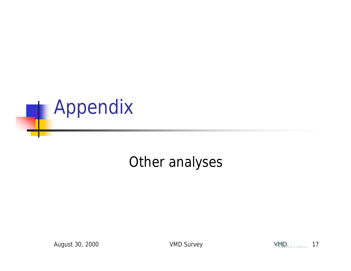

#### Other analyses

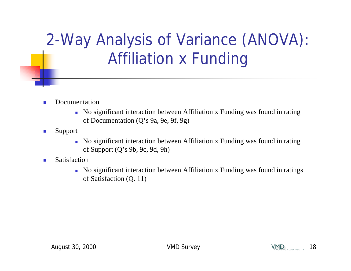2-Way Analysis of Variance (ANOVA): Affiliation x Funding

- **n** Documentation
	- <sup>n</sup> No significant interaction between Affiliation x Funding was found in rating of Documentation (Q's 9a, 9e, 9f, 9g)
- $\blacksquare$  Support
	- <sup>n</sup> No significant interaction between Affiliation x Funding was found in rating of Support (Q's 9b, 9c, 9d, 9h)
- **n** Satisfaction
	- <sup>n</sup> No significant interaction between Affiliation x Funding was found in ratings of Satisfaction (Q. 11)